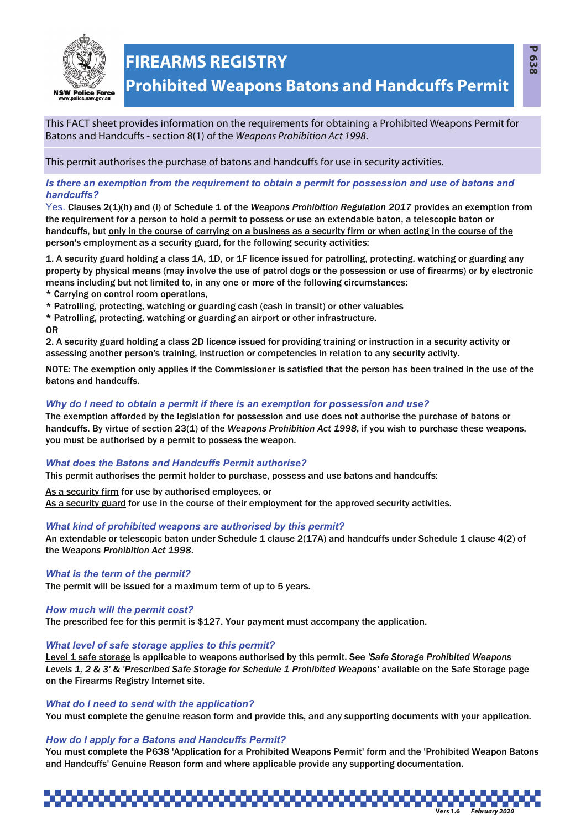

# **FIREARMS REGISTRY**

This FACT sheet provides information on the requirements for obtaining a Prohibited Weapons Permit for Batons and Handcuffs - section 8(1) of the Weapons Prohibition Act 1998.

This permit authorises the purchase of batons and handcuffs for use in security activities.

*Is there an exemption from the requirement to obtain a permit for possession and use of batons and handcuffs?*

Yes. Clauses 2(1)(h) and (i) of Schedule 1 of the *Weapons Prohibition Regulation 2017* provides an exemption from the requirement for a person to hold a permit to possess or use an extendable baton, a telescopic baton or handcuffs, but only in the course of carrying on a business as a security firm or when acting in the course of the person's employment as a security guard, for the following security activities:

1. A security guard holding a class 1A, 1D, or 1F licence issued for patrolling, protecting, watching or guarding any property by physical means (may involve the use of patrol dogs or the possession or use of firearms) or by electronic means including but not limited to, in any one or more of the following circumstances:

\* Carrying on control room operations,

\* Patrolling, protecting, watching or guarding cash (cash in transit) or other valuables

\* Patrolling, protecting, watching or guarding an airport or other infrastructure.

#### OR

2. A security guard holding a class 2D licence issued for providing training or instruction in a security activity or assessing another person's training, instruction or competencies in relation to any security activity.

NOTE: The exemption only applies if the Commissioner is satisfied that the person has been trained in the use of the batons and handcuffs.

#### *Why do I need to obtain a permit if there is an exemption for possession and use?*

The exemption afforded by the legislation for possession and use does not authorise the purchase of batons or handcuffs. By virtue of section 23(1) of the *Weapons Prohibition Act 1998*, if you wish to purchase these weapons, you must be authorised by a permit to possess the weapon.

# *What does the Batons and Handcuffs Permit authorise?*

This permit authorises the permit holder to purchase, possess and use batons and handcuffs:

As a security firm for use by authorised employees, or As a security guard for use in the course of their employment for the approved security activities.

#### *What kind of prohibited weapons are authorised by this permit?*

An extendable or telescopic baton under Schedule 1 clause 2(17A) and handcuffs under Schedule 1 clause 4(2) of the *Weapons Prohibition Act 1998*.

#### *What is the term of the permit?*

The permit will be issued for a maximum term of up to 5 years.

#### *How much will the permit cost?*

The prescribed fee for this permit is \$127. Your payment must accompany the application.

#### *What level of safe storage applies to this permit?*

Level 1 safe storage is applicable to weapons authorised by this permit. See *'Safe Storage Prohibited Weapons* Levels 1, 2 & 3' & 'Prescribed Safe Storage for Schedule 1 Prohibited Weapons' available on the Safe Storage page on the Firearms Registry Internet site.

#### *What do I need to send with the application?*

You must complete the genuine reason form and provide this, and any supporting documents with your application.

# *How do I apply for a Batons and Handcuffs Permit?*

You must complete the P638 'Application for a Prohibited Weapons Permit' form and the 'Prohibited Weapon Batons and Handcuffs' Genuine Reason form and where applicable provide any supporting documentation.